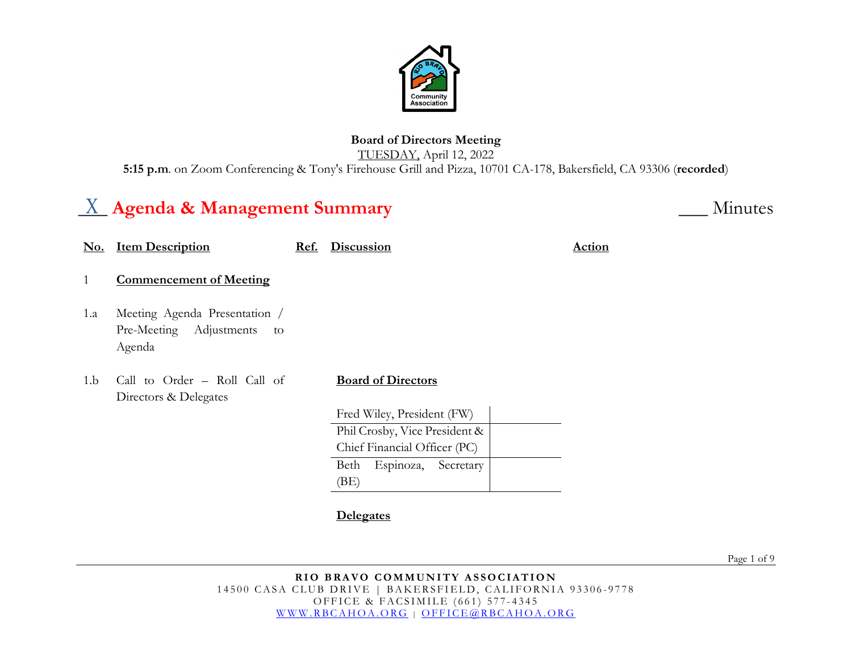

## **Board of Directors Meeting**

TUESDAY, April 12, 2022

**5:15 p.m**. on Zoom Conferencing & Tony's Firehouse Grill and Pizza, 10701 CA-178, Bakersfield, CA 93306 (**recorded**)

# $\underline{X}$  Agenda & Management Summary

| <u>No.</u> | <u>Item Description</u>                                                  | Ref. | <b>Discussion</b>              | <b>Action</b> |
|------------|--------------------------------------------------------------------------|------|--------------------------------|---------------|
| 1          | <b>Commencement of Meeting</b>                                           |      |                                |               |
| 1.a        | Meeting Agenda Presentation /<br>Pre-Meeting Adjustments<br>to<br>Agenda |      |                                |               |
| 1.b        | Call to Order - Roll Call of<br>Directors & Delegates                    |      | <b>Board of Directors</b>      |               |
|            |                                                                          |      | Fred Wiley, President (FW)     |               |
|            |                                                                          |      | Phil Crosby, Vice President &  |               |
|            |                                                                          |      | Chief Financial Officer (PC)   |               |
|            |                                                                          |      | Beth<br>Espinoza,<br>Secretary |               |
|            |                                                                          |      | (BE)                           |               |
|            |                                                                          |      |                                |               |

**Delegates**

Page 1 of 9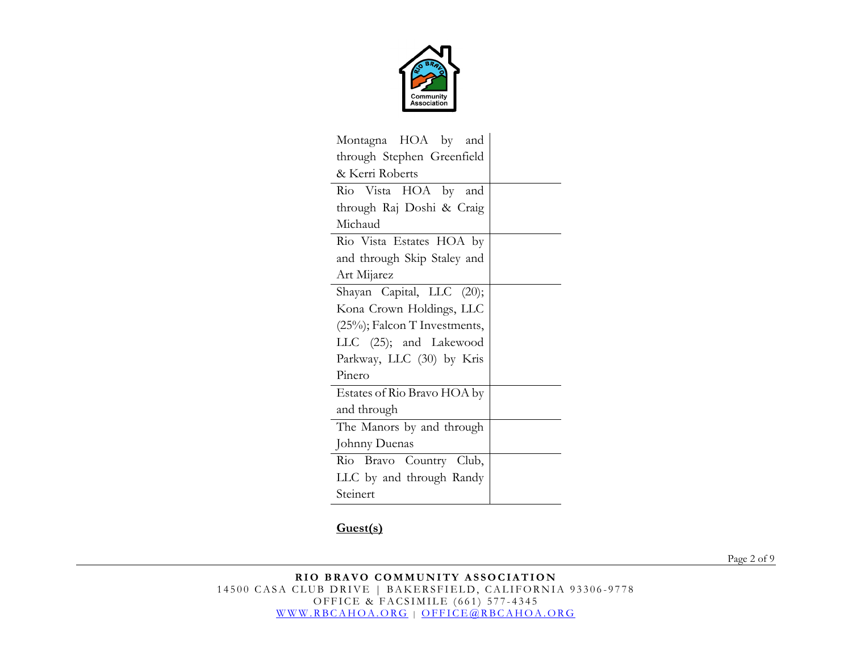

| Montagna HOA by and          |  |  |  |  |
|------------------------------|--|--|--|--|
| through Stephen Greenfield   |  |  |  |  |
| & Kerri Roberts              |  |  |  |  |
| Rio Vista HOA by and         |  |  |  |  |
| through Raj Doshi & Craig    |  |  |  |  |
| Michaud                      |  |  |  |  |
| Rio Vista Estates HOA by     |  |  |  |  |
| and through Skip Staley and  |  |  |  |  |
| Art Mijarez                  |  |  |  |  |
| Shayan Capital, LLC (20);    |  |  |  |  |
| Kona Crown Holdings, LLC     |  |  |  |  |
| (25%); Falcon T Investments, |  |  |  |  |
| LLC (25); and Lakewood       |  |  |  |  |
| Parkway, LLC (30) by Kris    |  |  |  |  |
| Pinero                       |  |  |  |  |
| Estates of Rio Bravo HOA by  |  |  |  |  |
| and through                  |  |  |  |  |
| The Manors by and through    |  |  |  |  |
| Johnny Duenas                |  |  |  |  |
| Rio Bravo Country Club,      |  |  |  |  |
| LLC by and through Randy     |  |  |  |  |
| Steinert                     |  |  |  |  |

#### **Guest(s)**

Page 2 of 9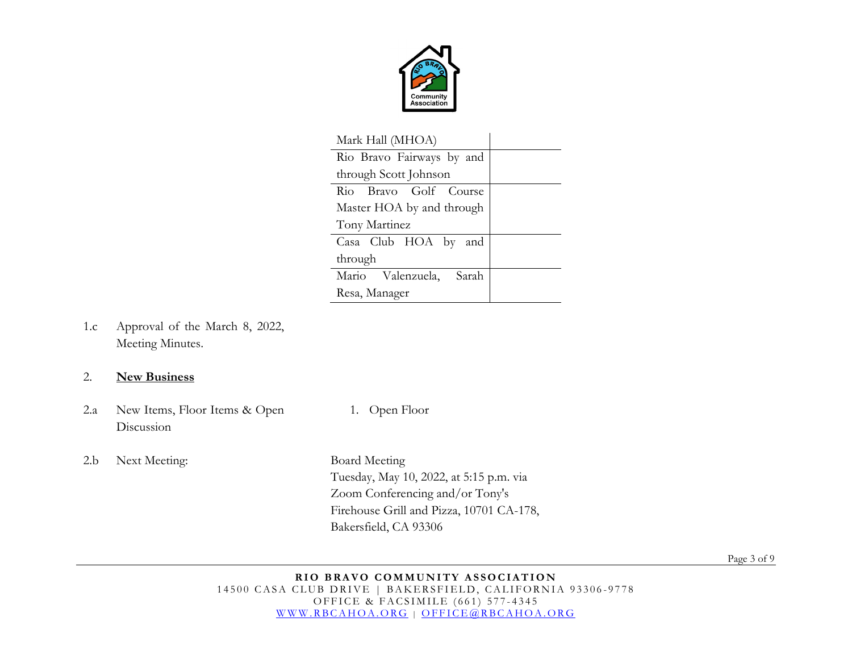

| Mark Hall (MHOA)          |  |  |  |
|---------------------------|--|--|--|
| Rio Bravo Fairways by and |  |  |  |
| through Scott Johnson     |  |  |  |
| Rio Bravo Golf Course     |  |  |  |
| Master HOA by and through |  |  |  |
| Tony Martinez             |  |  |  |
| Casa Club HOA by and      |  |  |  |
| through                   |  |  |  |
| Mario Valenzuela, Sarah   |  |  |  |
| Resa, Manager             |  |  |  |

1.c Approval of the March 8, 2022, Meeting Minutes.

#### 2. **New Business**

- 2.a New Items, Floor Items & Open Discussion
- 2.b Next Meeting: Board Meeting

1. Open Floor

Tuesday, May 10, 2022, at 5:15 p.m. via Zoom Conferencing and/or Tony's Firehouse Grill and Pizza, 10701 CA-178, Bakersfield, CA 93306

Page 3 of 9

#### **RIO BRAVO COMMUNITY ASSOCIATION** 14500 CASA CLUB DRIVE | BAKERSFIELD, CALIFORNIA 93306-9778 OFFICE & FACSIMILE (661) 577 - 4345 [WWW.RBCAHOA.ORG](http://www.rbcahoa.org/) | [OFFICE@RBCAHOA.ORG](mailto:OFFICE@RBCAHOA.ORG)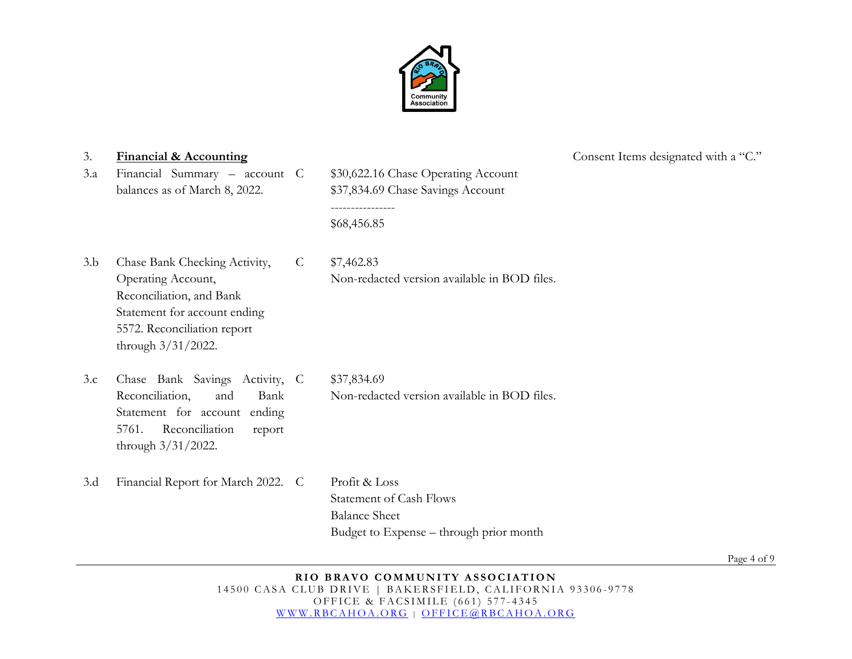

3.a Financial Summary – account balances as of March 8, 2022.

\$30,622.16 Chase Operating Account \$37,834.69 Chase Savings Account ---------------- \$68,456.85

- 3.b Chase Bank Checking Activity, Operating Account, Reconciliation, and Bank Statement for account ending 5572. Reconciliation report through 3/31/2022. C \$7,462.83 Non-redacted version available in BOD files.
- 3.c Chase Bank Savings Activity, Reconciliation, and Bank Statement for account ending 5761. Reconciliation report through 3/31/2022. C \$37,834.69 Non-redacted version available in BOD files.
- 3.d Financial Report for March 2022. C Profit & Loss

Statement of Cash Flows Balance Sheet Budget to Expense – through prior month

3. **Financial & Accounting** Consent Items designated with a "C."

Page 4 of 9

#### **RIO BRAVO COMMUNITY ASSOCIATION** 14500 CASA CLUB DRIVE | BAKERSFIELD, CALIFORNIA 93306-9778 OFFICE & FACSIMILE (661) 577 - 4345 [WWW.RBCAHOA.ORG](http://www.rbcahoa.org/) | [OFFICE@RBCAHOA.ORG](mailto:OFFICE@RBCAHOA.ORG)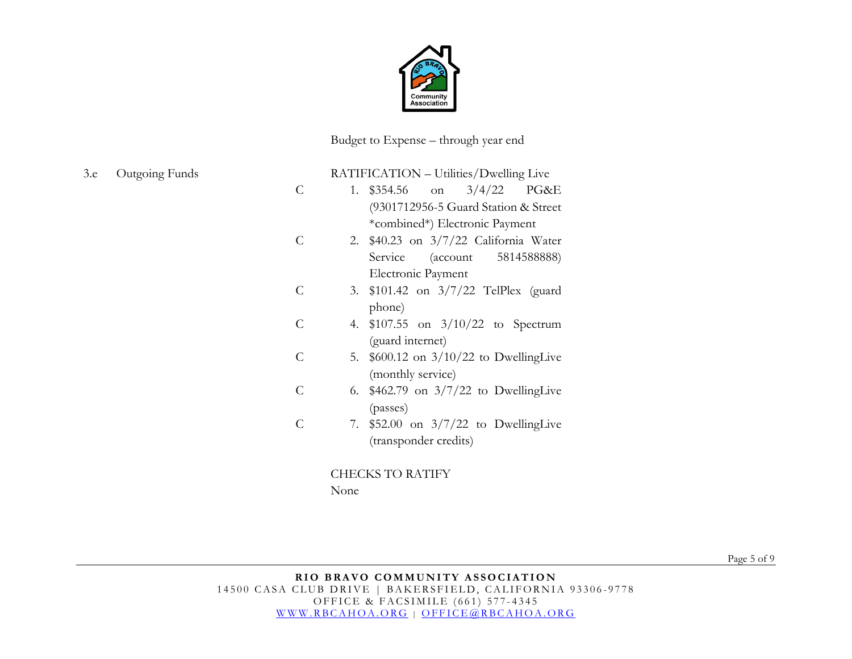

Budget to Expense – through year end

| 3.e |  | Outgoing Funds |
|-----|--|----------------|
|     |  |                |

#### C RATIFICATION – Utilities/Dwelling Live 1. \$354.56 on 3/4/22 PG&E (9301712956-5 Guard Station & Street \*combined\*) Electronic Payment

- C 2. \$40.23 on 3/7/22 California Water Service (account 5814588888) Electronic Payment
- C 3. \$101.42 on 3/7/22 TelPlex (guard phone)
- C 4. \$107.55 on 3/10/22 to Spectrum (guard internet)
- C 5. \$600.12 on 3/10/22 to DwellingLive (monthly service)
- C 6. \$462.79 on 3/7/22 to DwellingLive (passes)
- C 7. \$52.00 on 3/7/22 to DwellingLive (transponder credits)

CHECKS TO RATIFY

None

Page 5 of 9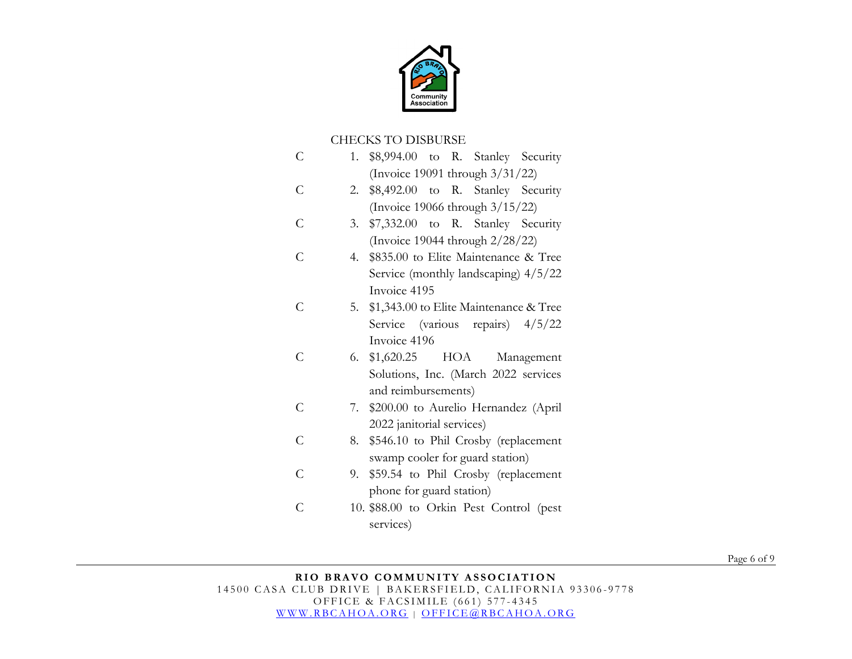

### CHECKS TO DISBURSE

| Ċ              | \$8,994.00 to R. Stanley Security<br>1.      |
|----------------|----------------------------------------------|
|                | (Invoice 19091 through 3/31/22)              |
| C              | \$8,492.00 to R. Stanley Security<br>2.      |
|                | (Invoice 19066 through $3/15/22$ )           |
| C              | \$7,332.00 to R. Stanley Security<br>3.      |
|                | (Invoice 19044 through 2/28/22)              |
| C              | \$835.00 to Elite Maintenance & Tree<br>4.   |
|                | Service (monthly landscaping) 4/5/22         |
|                | Invoice 4195                                 |
| C              | \$1,343.00 to Elite Maintenance & Tree<br>5. |
|                | Service (various repairs) $4/5/22$           |
|                | Invoice 4196                                 |
| $\subset$      | 6. \$1,620.25 HOA<br>Management              |
|                | Solutions, Inc. (March 2022 services         |
|                | and reimbursements)                          |
| C              | \$200.00 to Aurelio Hernandez (April<br>7.   |
|                | 2022 janitorial services)                    |
| C              | \$546.10 to Phil Crosby (replacement<br>8.   |
|                | swamp cooler for guard station)              |
| $\overline{C}$ | \$59.54 to Phil Crosby (replacement<br>9.    |
|                | phone for guard station)                     |
| C              | 10. \$88.00 to Orkin Pest Control (pest      |
|                | services)                                    |

Page 6 of 9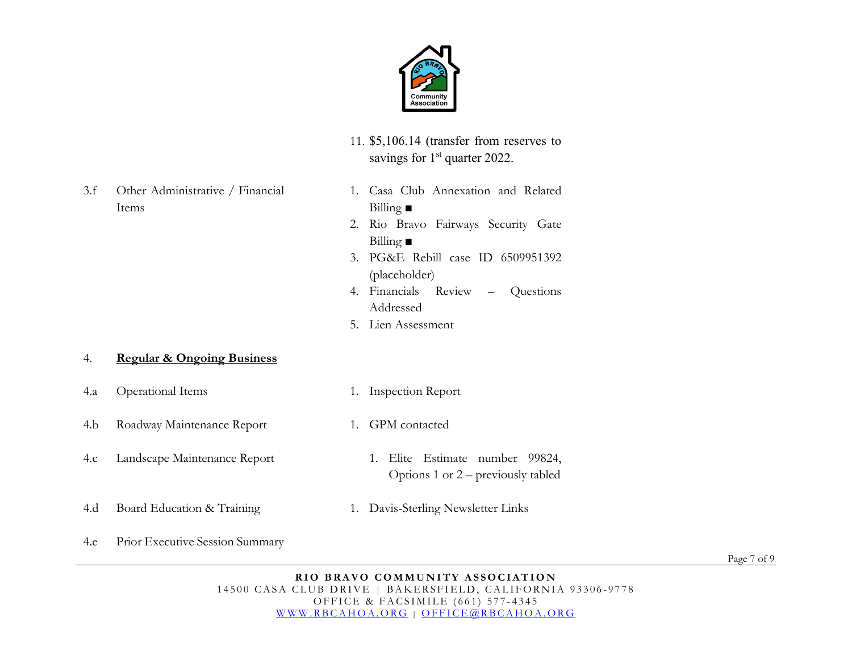

- 11. \$5,106.14 (transfer from reserves to savings for  $1<sup>st</sup>$  quarter 2022.
- 3.f Other Administrative / Financial Items
- 1. Casa Club Annexation and Related Billing **■**
- 2. Rio Bravo Fairways Security Gate Billing **■**
- 3. PG&E Rebill case ID 6509951392 (placeholder)
- 4. Financials Review Questions Addressed
- 5. Lien Assessment

#### 4. **Regular & Ongoing Business**

- 4.a Operational Items 1. Inspection Report
- 4.b Roadway Maintenance Report 1. GPM contacted
- 4.c Landscape Maintenance Report 1. Elite Estimate number 99824,
- Options 1 or 2 previously tabled
- 4.d Board Education & Training 1. Davis-Sterling Newsletter Links
- 4.e Prior Executive Session Summary

Page 7 of 9

**RIO BRAVO COMMUNITY ASSOCIATION** 14500 CASA CLUB DRIVE | BAKERSFIELD, CALIFORNIA 93306-9778 OFFICE & FACSIMILE (661) 577 - 4345 [WWW.RBCAHOA.ORG](http://www.rbcahoa.org/) | [OFFICE@RBCAHOA.ORG](mailto:OFFICE@RBCAHOA.ORG)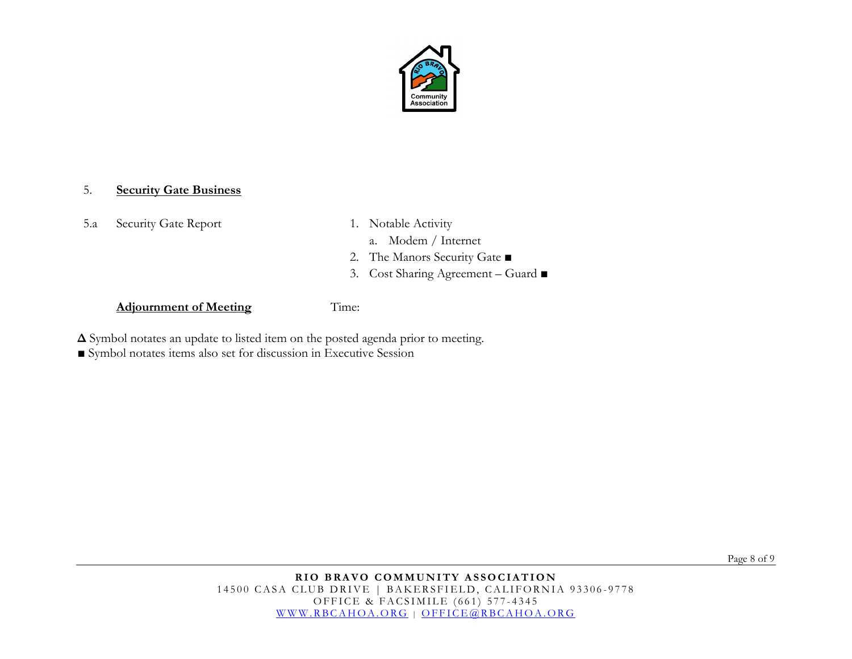

#### 5. **Security Gate Business**

5.a Security Gate Report 1. Notable Activity

- - a. Modem / Internet
- 2. The Manors Security Gate ■
- 3. Cost Sharing Agreement Guard ■

#### **Adjournment of Meeting** Time:

**Δ** Symbol notates an update to listed item on the posted agenda prior to meeting.

**■** Symbol notates items also set for discussion in Executive Session

Page 8 of 9